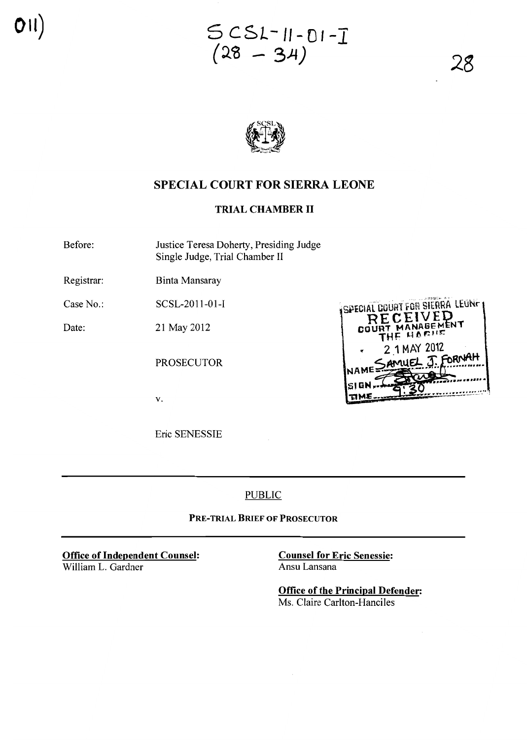**SCSL-II-OI-I** (~<B **- 3)4)**

28

SPECIAL COURT FOR SIERRA LEUNE **CEIVED** 

> THE HORING 2 1 MAY 2012

FORNAH

col



# **SPECIAL COURT FOR SIERRA LEONE**

### **TRIAL CHAMBER 11**

Before: Justice Teresa Doherty, Presiding Judge Single Judge, Trial Chamber <sup>11</sup>

Registrar: Binta Mansaray

Case No.: SCSL-2011-01-I

Date: 21 May 2012

PROSECUTOR

v.

Eric SENESSIE

PUBLIC

**PRE-TRIAL BRIEF OF PROSECUTOR**

**Office of Independent Counsel:** William L. Gardner

**Counsel for Eric Senessie:** Ansu Lansana

**Office of the Principal Defender:** Ms. Claire Carlton-Hanciles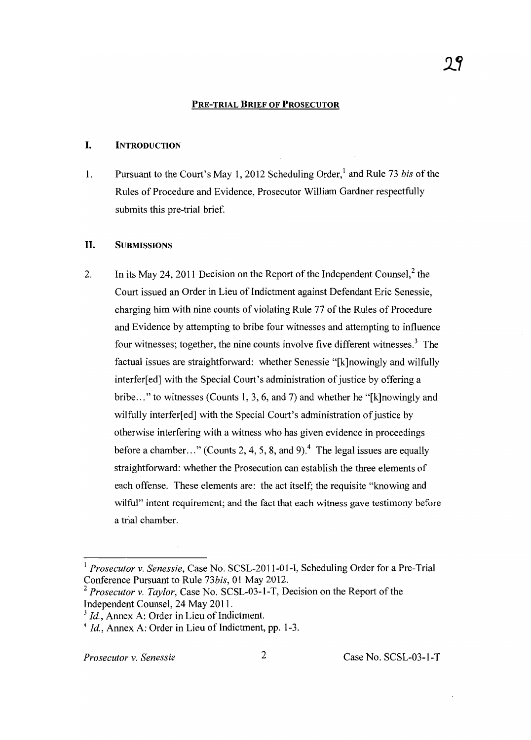#### PRE-TRIAL BRIEF OF PROSECUTOR

#### I. INTRODUCTION

1. Pursuant to the Court's May 1,2012 Scheduling Order,' and Rule 73 *bis* ofthe Rules of Procedure and Evidence, Prosecutor William Gardner respectfully submits this pre-trial brief.

#### 11. SUBMISSIONS

2. In its May 24, 2011 Decision on the Report of the Independent Counsel,  $2$  the Court issued an Order in Lieu of Indictment against Defendant Eric Senessie, charging him with nine counts of violating Rule 77 of the Rules of Procedure and Evidence by attempting to bribe four witnesses and attempting to influence four witnesses; together, the nine counts involve five different witnesses.' The factual issues are straightforward: whether Senessie "[k]nowingly and wilfully interfer[ed] with the Special Court's administration of justice by offering a bribe ... " to witnesses (Counts 1, 3,6, and 7) and whether he "[k]nowingly and wilfully interfer[ed] with the Special Court's administration of justice by otherwise interfering with a witness who has given evidence in proceedings before a chamber..." (Counts 2, 4, 5, 8, and 9).<sup>4</sup> The legal issues are equally straightforward: whether the Prosecution can establish the three elements of each offense. These elements are: the act itself; the requisite "knowing and wilful" intent requirement; and the fact that each witness gave testimony before a trial chamber.

<sup>1</sup> *Prosecutor* v. *Senessie,* Case No. SCSL-2011-01-I, Scheduling Order for a Pre-Trial Conference Pursuant to Rule *73bis,* 01 May 2012.

*<sup>2</sup> Prosecutor* v. *Taylor,* Case No. SCSL-03-I-T, Decision on the Report ofthe Independent Counsel, 24 May 2011.

 $3$  *Id.*, Annex A: Order in Lieu of Indictment.

 $4$  *Id.*, Annex A: Order in Lieu of Indictment, pp. 1-3.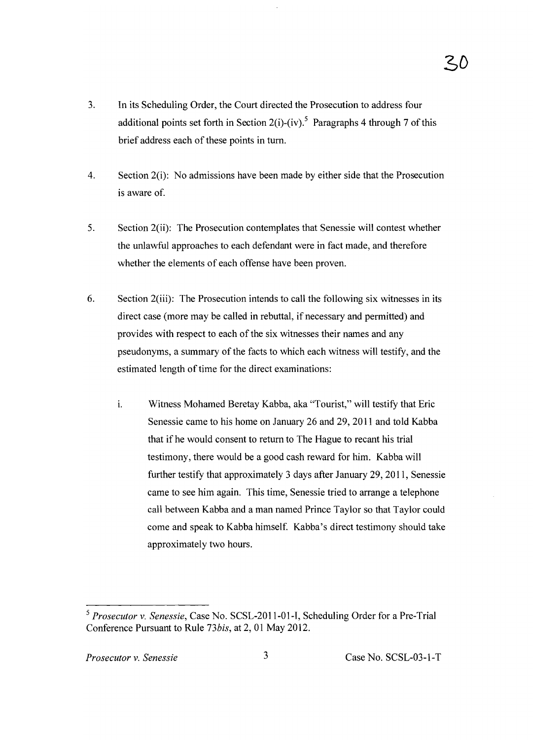- 3. In its Scheduling Order, the Court directed the Prosecution to address four additional points set forth in Section 2(i)-(iv).<sup>5</sup> Paragraphs 4 through 7 of this brief address each of these points in turn.
- 4. Section 2(i): No admissions have been made by either side that the Prosecution is aware of.
- 5. Section 2(ii): The Prosecution contemplates that Senessie will contest whether the unlawful approaches to each defendant were in fact made, and therefore whether the elements of each offense have been proven.
- 6. Section 2(iii): The Prosecution intends to call the following six witnesses in its direct case (more may be called in rebuttal, if necessary and permitted) and provides with respect to each of the six witnesses their names and any pseudonyms, a summary of the facts to which each witness will testify, and the estimated length of time for the direct examinations:
	- i. Witness Mohamed Beretay Kabba, aka "Tourist," will testify that Eric Senessie came to his home on January 26 and 29, 2011 and told Kabba that if he would consent to return to The Hague to recant his trial testimony, there would be a good cash reward for him. Kabba will further testify that approximately 3 days after January 29,2011, Senessie came to see him again. This time, Senessie tried to arrange a telephone call between Kabba and a man named Prince Taylor so that Taylor could come and speak to Kabba himself. Kabba's direct testimony should take approximately two hours.

*<sup>5</sup> Prosecutor* v. *Senessie,* Case No. SCSL-2011-01-I, Scheduling Order for a Pre-Trial Conference Pursuant to Rule *73bis,* at 2,01 May 2012.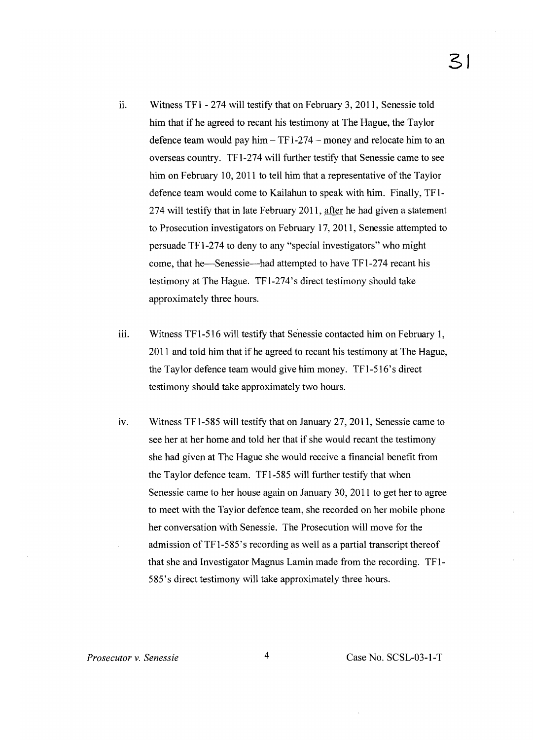- ii. Witness TF1 274 will testify that on February 3, 2011, Senessie told him that if he agreed to recant his testimony at The Hague, the Taylor defence team would pay him  $-$  TF1-274  $-$  money and relocate him to an overseas country. TFl-274 will further testify that Senessie came to see him on February 10, 2011 to tell him that a representative of the Taylor defence team would come to Kailahun to speak with him. Finally, TF1- 274 will testify that in late February 2011, after he had given a statement to Prosecution investigators on February 17, 2011, Senessie attempted to persuade TFl-274 to deny to any "special investigators" who might come, that he-Senessie-had attempted to have TF1-274 recant his testimony at The Hague. TFl-274's direct testimony should take approximately three hours.
- iii. Witness TF 1-516 will testify that Senessie contacted him on February 1, **2011** and told him that if he agreed to recant his testimony at The Hague, the Taylor defence team would give him money. TFl-516's direct testimony should take approximately two hours.
- iv. Witness TF1-585 will testify that on January  $27$ ,  $2011$ , Senessie came to see her at her home and told her that if she would recant the testimony she had given at The Hague she would receive a financial benefit from the Taylor defence team. TFl-585 will further testify that when Senessie came to her house again on January 30, 2011 to get her to agree to meet with the Taylor defence team, she recorded on her mobile phone her conversation with Senessie. The Prosecution will move for the admission of TF1-585's recording as well as a partial transcript thereof that she and Investigator Magnus Lamin made from the recording. TF1- 585's direct testimony will take approximately three hours.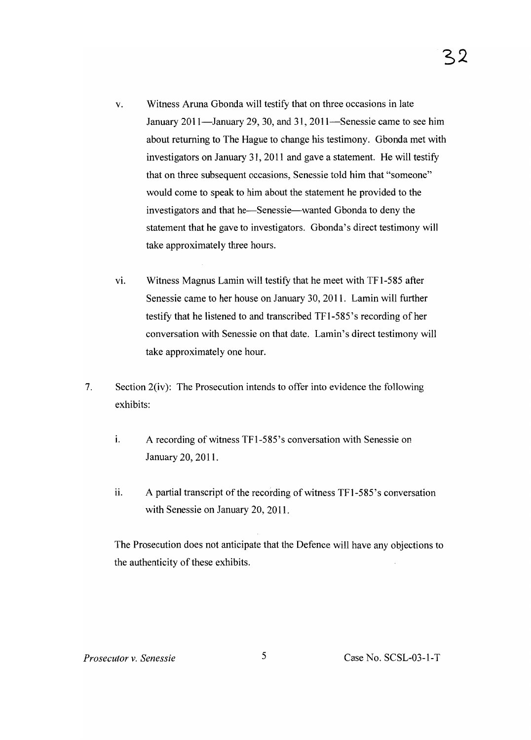- v. Witness Aruna Gbonda will testify that on three occasions in late January 2011—January 29, 30, and 31, 2011—Senessie came to see him about returning to The Hague to change his testimony. Gbonda met with investigators on January 31, **2011** and gave a statement. He will testify that on three subsequent occasions, Senessie told him that "someone" would come to speak to him about the statement he provided to the investigators and that he-Senessie-wanted Gbonda to deny the statement that he gave to investigators. Gbonda's direct testimony will take approximately three hours.
- vi. Witness Magnus Lamin will testify that he meet with TF1-585 after Senessie came to her house on January 30, 2011. Lamin will further testify that he listened to and transcribed TFl-585's recording of her conversation with Senessie on that date. Lamin's direct testimony will take approximately one hour.
- 7. Section 2(iv): The Prosecution intends to offer into evidence the following exhibits:
	- i. A recording of witness TF1-585's conversation with Senessie on January 20, 2011.
	- ii. A partial transcript of the recording of witness  $TF1-585$ 's conversation with Senessie on January 20, 2011.

The Prosecution does not anticipate that the Defence will have any objections to the authenticity of these exhibits.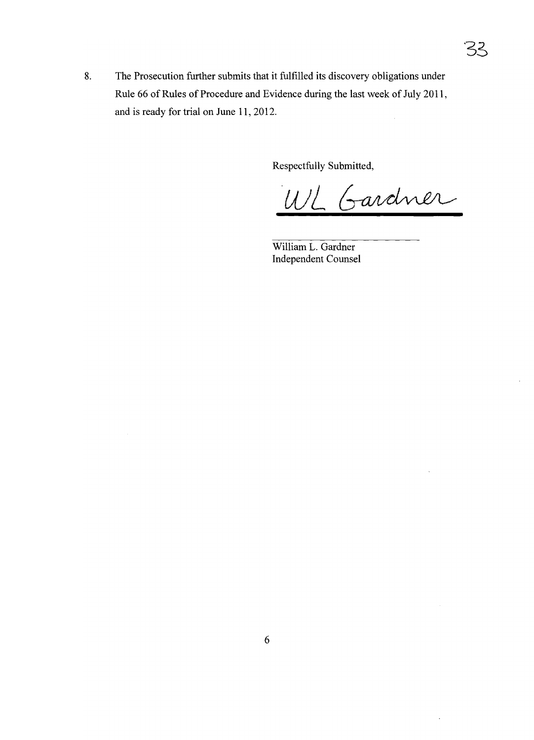8. The Prosecution further submits that it fulfilled its discovery obligations under Rule 66 of Rules of Procedure and Evidence during the last week of July 2011, and is ready for trial on June 11, 2012.  $\hat{\boldsymbol{\epsilon}}$ 

Respectfully Submitted,

WL Gardner

William L. Gardner Independent Counsel